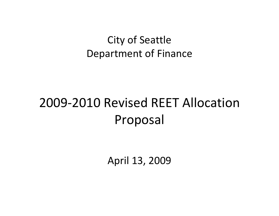# City of Seattle Department of Finance

# 2009‐2010 Revised REET Allocation Proposal

April 13, 2009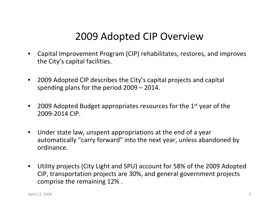# 2009 Adopted CIP Overview

- • Capital Improvement Program (CIP) rehabilitates, restores, and improves the City's capital facilities.
- $\bullet$  2009 Adopted CIP describes the City's capital projects and capital spending plans for the period 2009 – 2014.
- $\bullet$ • 2009 Adopted Budget appropriates resources for the  $1^{\text{st}}$  year of the 2009‐2014 CIP.
- $\bullet$  Under state law, unspent appropriations at the end of <sup>a</sup> year automatically "carry forward" into the next year, unless abandoned by ordinance.
- • Utility projects (City Light and SPU) account for 58% of the 2009 Adopted CIP, transportation projects are 30%, and general government projects comprise the remaining 12% .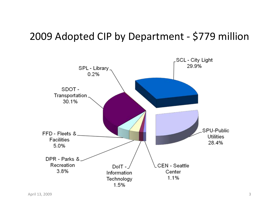# 2009 Adopted CIP by Department ‐ \$779 million

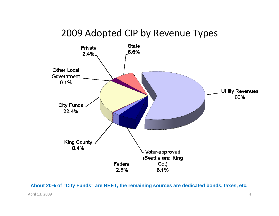# 2009 Adopted CIP by Revenue Types



**About 20% of "City Funds" are REET, the remaining sources are dedicated bonds, taxes, etc.**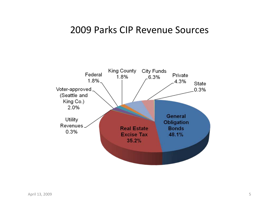## 2009 Parks CIP Revenue Sources

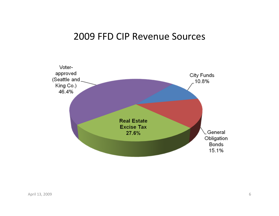## 2009 FFD CIP Revenue Sources

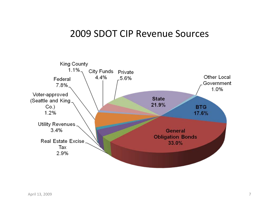## 2009 SDOT CIP Revenue Sources

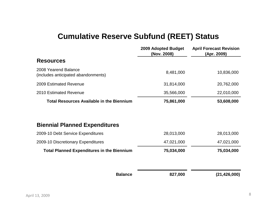## **Cumulative Reserve Subfund (REET) Status**

|                                                             | 2009 Adopted Budget<br>(Nov. 2008) | <b>April Forecast Revision</b><br>(Apr. 2009) |
|-------------------------------------------------------------|------------------------------------|-----------------------------------------------|
| <b>Resources</b>                                            |                                    |                                               |
| 2008 Yearend Balance<br>(includes anticipated abandonments) | 8,481,000                          | 10,836,000                                    |
| 2009 Estimated Revenue                                      | 31,814,000                         | 20,762,000                                    |
| 2010 Estimated Revenue                                      | 35,566,000                         | 22,010,000                                    |
| <b>Total Resources Available in the Biennium</b>            | 75,861,000                         | 53,608,000                                    |
| <b>Biennial Planned Expenditures</b>                        |                                    |                                               |
| 2009-10 Debt Service Expenditures                           | 28,013,000                         | 28,013,000                                    |
| 2009-10 Discretionary Expenditures                          | 47,021,000                         | 47,021,000                                    |
| <b>Total Planned Expenditures in the Biennium</b>           | 75,034,000                         | 75,034,000                                    |
|                                                             |                                    |                                               |
| <b>Balance</b>                                              | 827,000                            | (21, 426, 000)                                |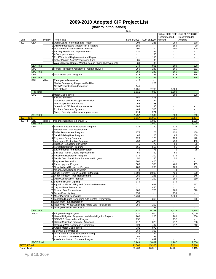## **2009-2010 Adopted CIP Project List**

**(dollars in thousands)**

|                      |                                |          |                                                             | Data                     |                |                             |                                 |
|----------------------|--------------------------------|----------|-------------------------------------------------------------|--------------------------|----------------|-----------------------------|---------------------------------|
|                      |                                |          |                                                             |                          |                |                             | Sum of 2009 DOF Sum of 2010 DOF |
|                      |                                |          |                                                             |                          |                | Recommended                 | Recommended                     |
| Fund                 | Dept                           | Priority | <b>Project Title</b>                                        | Sum of 2009              | Sum of 2010    | Amount                      | Amount                          |
| <b>REET I</b>        | <b>CEN</b>                     |          | 1 Open Space Restoration and Repair                         | 304                      | 225            | 250                         | 270                             |
|                      |                                |          | 2 Utility Infrastructure Master Plan & Repairs              | 180                      |                | 150                         | 30                              |
|                      |                                |          |                                                             |                          | 200            |                             | 200                             |
|                      |                                |          | 3 McCaw Hall Asset Preservation Fund                        | 200                      |                | 100                         |                                 |
|                      |                                |          | 4 Parking Repairs and Improvements                          | 230                      | 245            | $\overline{\phantom{a}}$    | $\sim$                          |
|                      |                                |          | 5 ADA Improvements                                          | $\blacksquare$           | 50             | $\overline{\phantom{a}}$    | $\blacksquare$                  |
|                      |                                |          | 6 Roof/Structural Replacement and Repair                    | ÷.                       | 180            | $\mathcal{L}_{\mathcal{A}}$ | $\sim$                          |
|                      |                                |          | 7 Fisher Pavilion Asset Preservation Fund                   | 35                       | 35             | $\overline{\phantom{a}}$    | $\blacksquare$                  |
|                      |                                |          | 8 Waste/Recycle Center, Warehouse and Shops Improvements    | 30                       | 30             | $\overline{\phantom{a}}$    | $\sim$                          |
|                      | <b>CEN Total</b>               |          |                                                             | 979                      | 965            | 500                         | 500                             |
|                      | <b>DPD</b>                     |          | 1 Tenant Relocation Assistance Program REET I               | 250                      | 238            | 165                         | 182                             |
|                      | <b>DPD Total</b>               |          |                                                             | 250                      | 238            | 165                         | 182                             |
|                      |                                |          |                                                             |                          |                |                             |                                 |
|                      | <b>DPR</b>                     |          | 7 Trails Renovation Program                                 | 325                      | 325            | 315                         | 315                             |
|                      | <b>DPR Total</b>               |          |                                                             | 325                      | 325            | 315                         | 315                             |
|                      | <b>FFD</b>                     | (blank)  | <b>Emergency Generators</b>                                 | 415                      | $\sim$         |                             |                                 |
|                      |                                |          | Marine Emergency Response Facilities                        | ٠                        | 223            |                             |                                 |
|                      |                                |          | North Precinct Interim Expansion                            | 145                      | $\blacksquare$ |                             |                                 |
|                      |                                |          | <b>Fire Stations</b>                                        | 5,251                    | 7,760          | 5,600                       |                                 |
|                      |                                |          |                                                             | 5,811                    | 7,983          | 5,600                       |                                 |
|                      | <b>FFD Total</b><br><b>SPL</b> |          |                                                             |                          |                |                             |                                 |
|                      |                                |          | 1 Major Maintenance                                         | $\overline{\phantom{a}}$ | $\blacksquare$ | 500                         | 500                             |
|                      |                                |          | 2 Building Systems                                          | 457                      | 473            |                             | $\blacksquare$                  |
|                      |                                |          | Landscape and Hardscape Restoration                         | 52                       | 54             | $\mathbf{r}$                | $\mathcal{L}_{\mathcal{A}}$     |
|                      |                                |          | Minor Capital Improvements                                  | 56                       | 58             | $\blacksquare$              | $\sim$                          |
|                      |                                |          | Operational Efficiency Improvements                         | 184                      | 190            | $\blacksquare$              | $\blacksquare$                  |
|                      |                                |          | Roof and Structural Systems                                 | 489                      | 506            | $\blacksquare$              | $\sim$                          |
|                      |                                |          | Safety, Security and Access Improvements                    | 214                      | 221            | $\mathcal{L}_{\mathcal{A}}$ | $\sim$                          |
|                      | <b>SPL Total</b>               |          |                                                             | 1,452                    | 1,502          | 500                         | 500                             |
|                      |                                |          |                                                             |                          |                |                             | 1,497                           |
| <b>REET   Total</b>  |                                |          |                                                             | 8,817                    | 11,013         | 7,080                       |                                 |
| REET II              | <b>CRS</b>                     | (blank)  | Neighborhood Street Fund/CRS                                | ÷.                       | 1,000          |                             | 1,000                           |
|                      | <b>CRS Total</b>               |          |                                                             | ÷.                       | 1,000          |                             | 1,000                           |
|                      | <b>DPR</b>                     |          | 1 Electrical System Replacement Program                     | 125                      | 150            | 125                         | 75                              |
|                      |                                |          | Federal Pool Drain Requirement                              | $\sim$                   | $\sim$         | 400                         |                                 |
|                      |                                |          | 2 Boiler Replacement Program                                | 175                      | 175            | 150                         | 150                             |
|                      |                                |          | 3 Small Building Roof Program                               | 85                       | 100            | 85                          | 100                             |
|                      |                                |          | 4 Play Area Safety Program                                  | 120                      | 120            | 120                         | 120                             |
|                      |                                |          |                                                             |                          |                |                             |                                 |
|                      |                                |          | 5 Landscape Restoration Program                             | 430                      | 430            | 430                         | 430                             |
|                      |                                |          | 6 Irrigation Replacement Program                            | 75                       | 75             | 50                          | 50                              |
|                      |                                |          | 8 Forest Restoration Program                                | 566                      | 566            | 96                          | 96                              |
|                      |                                |          | 9 Environmental Remediation Program                         | 75                       | 75             | 75                          | 75                              |
|                      |                                |          | 10 Ballfields - Minor Capital Improvements                  | 50                       | 50             | 50                          |                                 |
|                      |                                |          | 11 Pavement Restoration Program                             | 175                      | 200            | 175                         | $\sim$                          |
|                      |                                |          | 12 Tennis Court Small Scale Renovation Program              | 50                       | 50             | 50                          | $\sim$                          |
|                      |                                |          |                                                             |                          |                |                             |                                 |
|                      |                                |          | 13 Play Area Renovation                                     | 200                      | 400            |                             | $\sim$                          |
|                      |                                |          | 14 Parks Upgrade Program                                    | 508                      | 508            | 465                         | 465                             |
|                      |                                |          | 15 Neighborhood Response Program                            | 200                      | 200            | 100                         | 100                             |
|                      |                                |          | 16 Neighborhood Capital Program                             | 44                       | $\blacksquare$ | 44                          | $\sim$                          |
|                      |                                |          | 17 Urban Forestry - Green Seattle Partnership               | 1,500                    | 2,000          | 430                         | 620                             |
|                      |                                |          | 18 Urban Forestry - Tree Replacement                        | 285                      | 285            | 145                         | 145                             |
|                      |                                |          | 19 Utility Conservation Program                             | 250                      | 250            | 150                         | 150                             |
|                      |                                |          | 20 Basketball Court Lighting                                | 175                      | $\blacksquare$ | 175                         | $\sim$                          |
|                      |                                |          | 21 Aquarium Pier 60 Piling and Corrosion Renovation         |                          |                |                             |                                 |
|                      |                                |          |                                                             | $\blacksquare$           | 657            | $\blacksquare$              | 657                             |
|                      |                                |          | 22 City Hall Park Restoration                               |                          | 450            |                             | $\sim$                          |
|                      |                                |          | 23 Colman Pool Renovations                                  | 180                      | 720            | 180                         | 620                             |
|                      |                                |          | 24 Denny Park Lighting                                      | 159                      | $\blacksquare$ | 159                         | $\overline{\phantom{a}}$        |
|                      |                                |          | 25 Miller Playfield Renovation                              | 1,760                    | $\sim$         | 1,560                       | $\sim$                          |
|                      |                                |          | 26 Langston Hughes Performing Arts Center - Renovation      | $\blacksquare$           | 365            |                             | 365                             |
|                      |                                |          | 27 Waterfront Park Restoration                              | 200                      | $\sim$ $-$     | $\overline{\phantom{a}}$    | $\sim$                          |
|                      |                                |          | 28 Reservoirs - West Seattle and Maple Leaf Park Design     | 250                      | 250            | $\blacksquare$              | $\mathbb{Z}^+$                  |
|                      |                                |          |                                                             |                          |                |                             |                                 |
|                      |                                |          | 29 Delridge Playfield Renovation                            |                          | 1,147          |                             |                                 |
|                      | <b>DPR Total</b>               |          |                                                             | 7,637                    | 9,223          | 5,214                       | 4,218                           |
|                      | <b>SDOT</b>                    |          | 1 Bridge Painting Program                                   | 331                      | 2,000          | 331                         | 2,000                           |
|                      |                                |          | 2 Hazard Mitigation Program - Landslide Mitigation Projects | 200                      | 200            | 200                         | 200                             |
|                      |                                |          | 3 NSF/CRS Neighborhood Program                              | 952                      | $\blacksquare$ | 952                         | $\blacksquare$                  |
|                      |                                |          | 4 Hazard Mitigation Program - Areaways                      | 212                      | 328            | 212                         | 288                             |
|                      |                                |          | 5 Retaining Wall Repair and Restoration                     | 424                      | 437            | 212                         | 212                             |
|                      |                                |          | 6 Arterial Major Maintenance                                | 731                      | 870            | $\bullet$                   |                                 |
|                      |                                |          |                                                             |                          |                |                             | $\sim$                          |
|                      |                                |          | 7 Sidewalk Safety Repair                                    | 359                      | 368            | $\overline{\phantom{a}}$    | $\blacksquare$                  |
|                      |                                |          | 8 Non-Arterial Asphalt Street Resurfacing                   | 174                      | 132            | $\blacksquare$              | $\sim$                          |
|                      |                                |          | 9 Non-Arterial Concrete Rehabilitation                      | 54                       | 55             | $\blacksquare$              | $\sim$                          |
|                      |                                |          | 10 Arterial Asphalt and Concrete Program                    | 512                      | 692            | $\overline{\phantom{a}}$    | $\blacksquare$                  |
|                      | <b>SDOT</b> Total              |          |                                                             | 3,949                    | 5,082          | 1,907                       | 2,700                           |
| <b>REET II Total</b> |                                |          |                                                             | 11,586                   | 15,305         | 7,121                       | 7,918                           |
|                      |                                |          |                                                             | 20,403                   | 26,318         | 14,201                      | 9,415                           |
| <b>Grand Total</b>   |                                |          |                                                             |                          |                |                             |                                 |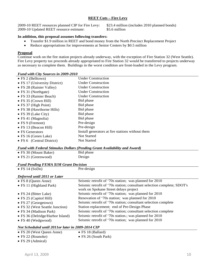### **REET Cuts – Fire Levy**

2009-10 REET resources planned CIP for Fire Levy: \$23.4 million (includes 2010 planned bonds) 2009-10 Updated REET resource estimate: \$5.6 million

### **In addition, this proposal assumes following transfers:**

- Transfer \$1.9 million in REET and bond money from the North Precinct Replacement Project
- Reduce appropriations for improvements at Senior Centers by \$0.5 million

### **Proposal**

Continue work on the fire station projects already underway, with the exception of Fire Station 32 (West Seattle). Fire Levy property tax proceeds already appropriated to Fire Station 32 would be transferred to projects underway as necessary to complete them. Buildings in the worst condition are front-loaded in the Levy program.

#### *Fund with City Sources in 2009-2010*

| • FS 2 (Belltown)             | <b>Under Construction</b>                        |
|-------------------------------|--------------------------------------------------|
| • FS 17 (University District) | <b>Under Construction</b>                        |
| • FS 28 (Rainier Valley)      | <b>Under Construction</b>                        |
| • FS 31 (Northgate)           | <b>Under Construction</b>                        |
| • FS 33 (Rainier Beach)       | <b>Under Construction</b>                        |
| $\bullet$ FS 35 (Crown Hill)  | Bid phase                                        |
| $\bullet$ FS 37 (High Point)  | Bid phase                                        |
| • FS 38 (Hawthorne Hills)     | Bid phase                                        |
| • FS 39 (Lake City)           | Bid phase                                        |
| $\bullet$ FS 41 (Magnolia)    | Bid phase                                        |
| • $FS$ 9 (Fremont)            | Pre-design                                       |
| • FS 13 (Beacon Hill)         | Pre-design                                       |
| • FS Generators               | Install generators at fire stations without them |
| • FS 16 (Green Lake)          | <b>Not Started</b>                               |
| • FS 6 (Central District)     | <b>Not Started</b>                               |
|                               |                                                  |

### *Fund with Federal Stimulus Dollars (Pending Grant Availability and Award)*

| • FS 30 (Mount Baker) | Bid phase |  |  |
|-----------------------|-----------|--|--|
| • FS 21 (Greenwood)   | Design    |  |  |
|                       |           |  |  |

## *Fund Pending FEMA \$1M Grant Decision*

| $\bullet$ FS 14 (SoDo)       | Pre-design |
|------------------------------|------------|
| Deferred until 2011 or Later |            |

| $\bullet$ FS 8 (Queen Anne)      | Seismic retrofit of '70s station; was planned for 2010                  |
|----------------------------------|-------------------------------------------------------------------------|
| • FS 11 (Highland Park)          | Seismic retrofit of '70s station; consultant selection complete; SDOT's |
|                                  | work on Spokane Street delays project                                   |
| $\bullet$ FS 24 (Bitter Lake)    | Seismic retrofit of '70s station; was planned for 2010                  |
| • FS 25 (Capitol Hill)           | Renovation of '70s station; was planned for 2010                        |
| $\bullet$ FS 27 (Georgetown)     | Seismic retrofit of '70s station; consultant selection complete         |
| • FS 32 (West Seattle Junction)  | Station replacement; end of Pre-Design Phase                            |
| • FS 34 (Madison Park)           | Seismic retrofit of '70s station; consultant selection complete         |
| • FS 36 (Delridge/Harbor Island) | Seismic retrofit of '70s station.; was planned for 2010                 |
| $\bullet$ FS 40 (Wedgwood)       | Seismic retrofit of '70s station; was planned for 2010                  |
|                                  |                                                                         |

### *Not Scheduled until 2011or later in 2009-2014 CIP*

|  | • FS 20 (West Queen Anne) | $\bullet$ FS 18 (Ballard) |
|--|---------------------------|---------------------------|
|--|---------------------------|---------------------------|

- FS 22 (Roanoke) FS 26 (South Park)
- FS 29 (Admiral)
-